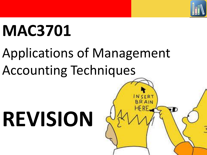

# **MAC3701**

# Applications of Management Accounting Techniques

# **REVISION**

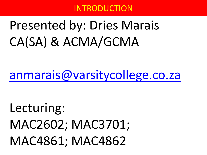### INTRODUCTION

# Presented by: Dries Marais CA(SA) & ACMA/GCMA

## [anmarais@varsitycollege.co.za](mailto:anmarais@varsitycollege.co.za)

# Lecturing: MAC2602; MAC3701; MAC4861; MAC4862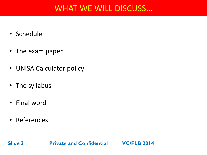### WHAT WE WILL DISCUSS…

- Schedule
- The exam paper
- UNISA Calculator policy
- The syllabus
- Final word
- References

**Slide 3**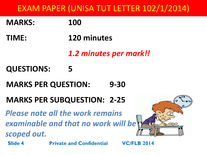### **MARKS: 100**

- **TIME: 120 minutes**
	- *1.2 minutes per mark!!*

### **QUESTIONS: 5**

**MARKS PER QUESTION: 9-30**

### **MARKS PER SUBQUESTION: 2-25**

**Slide 4 Private and Confidential VC/FLB 2014** *Please note all the work remains examinable and that no work will be scoped out.*

![](_page_3_Picture_8.jpeg)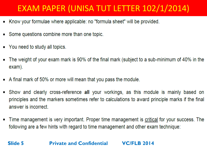- Know your formulae where applicable: no "formula sheet" will be provided.
- Some questions combine more than one topic.
- You need to study all topics.

**Slide 5**

- The weight of your exam mark is 90% of the final mark (subject to a sub-minimum of 40% in the exam).
- A final mark of 50% or more will mean that you pass the module.
- Show and clearly cross-reference all your workings, as this module is mainly based on principles and the markers sometimes refer to calculations to award principle marks if the final answer is incorrect.
- Time management is very important. Proper time management is critical for your success. The following are a few hints with regard to time management and other exam technique: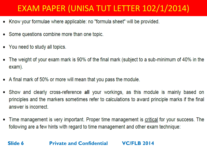- Know your formulae where applicable: no "formula sheet" will be provided.
- Some questions combine more than one topic.
- You need to study all topics.
- The weight of your exam mark is 90% of the final mark (subject to a sub-minimum of 40% in the exam).
- A final mark of 50% or more will mean that you pass the module.
- Show and clearly cross-reference all your workings, as this module is mainly based on principles and the markers sometimes refer to calculations to award principle marks if the final answer is incorrect.
- Time management is very important. Proper time management is critical for your success. The following are a few hints with regard to time management and other exam technique:

#### **Slide 6**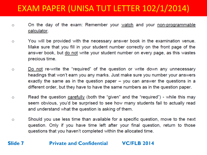- On the day of the exam: Remember your watch and your non-programmable  $\circ$ calculator.
- You will be provided with the necessary answer book in the examination venue.  $\circ$ Make sure that you fill in your student number correctly on the front page of the answer book, but do not write your student number on every page, as this wastes precious time.
- Do not re-write the "required" of the question or write down any unnecessary  $\circ$ headings that won't earn you any marks. Just make sure you number your answers exactly the same as in the question paper  $-$  you can answer the questions in a different order, but they have to have the same numbers as in the question paper.
- Read the question carefully (both the "given" and the "required") while this may  $\circ$ seem obvious, you'd be surprised to see how many students fail to actually read and understand what the question is asking of them.
- Should you use less time than available for a specific question, move to the next  $\circ$ question. Only if you have time left after your final question, return to those questions that you haven't completed within the allocated time.

#### **Slide 7 Private and Confidential VC/FLB 2014**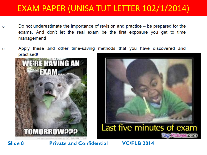- Do not underestimate the importance of revision and practice  $-$  be prepared for the  $\circ$ exams. And don't let the real exam be the first exposure you get to time management!
- Apply these and other time-saving methods that you have discovered and  $\circ$ practised!

![](_page_7_Picture_3.jpeg)

![](_page_7_Picture_4.jpeg)

**Slide 8**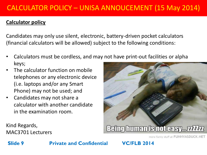#### **Calculator policy**

Candidates may only use silent, electronic, battery-driven pocket calculators (financial calculators will be allowed) subject to the following conditions:

- Calculators must be cordless, and may not have print-out facilities or alpha keys;
- The calculator function on mobile telephones or any electronic device (i.e. laptops and/or any Smart Phone) may not be used; and
- Candidates may not share a calculator with another candidate in the examination room.

Being human is not casy... *unkn* 

Kind Regards, MAC3701 Lecturers

more funny stuff at FUNNYASDUCK.NET

#### **Slide 9**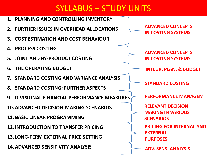### SYLLABUS – STUDY UNITS

![](_page_9_Figure_1.jpeg)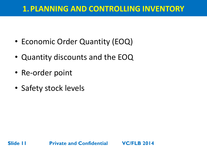### **1.PLANNING AND CONTROLLING INVENTORY**

- Economic Order Quantity (EOQ)
- Quantity discounts and the EOQ
- Re-order point

**Slide 11**

• Safety stock levels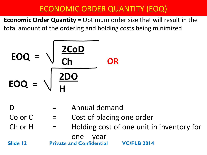### ECONOMIC ORDER QUANTITY (EOQ)

**Economic Order Quantity =** Optimum order size that will result in the total amount of the ordering and holding costs being minimized

$$
EOQ = \sqrt{\frac{2CoD}{Ch}}
$$
  

$$
EOQ = \sqrt{\frac{2DO}{H}}
$$

- D  $=$  Annual demand
- $Co$  or  $C = Co$  cost of placing one order
- Ch or  $H =$  Holding cost of one unit in inventory for

one year

**Slide 12**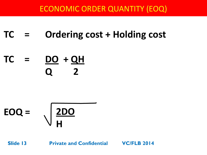### ECONOMIC ORDER QUANTITY (EOQ)

## **TC = Ordering cost + Holding cost**

## **TC = DO + QH Q 2**

$$
EOQ = \sqrt{\frac{2DO}{H}}
$$

**Slide 13**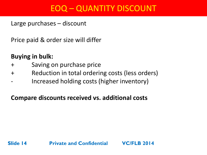### EOQ – QUANTITY DISCOUNT

Large purchases – discount

Price paid & order size will differ

### **Buying in bulk:**

- + Saving on purchase price
- + Reduction in total ordering costs (less orders)
- Increased holding costs (higher inventory)

### **Compare discounts received vs. additional costs**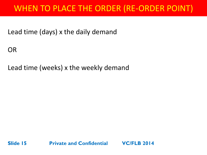### WHEN TO PLACE THE ORDER (RE-ORDER POINT)

Lead time (days) x the daily demand

OR

Lead time (weeks) x the weekly demand

![](_page_14_Picture_4.jpeg)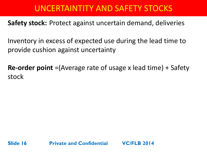### UNCERTAINTITY AND SAFETY STOCKS

**Safety stock:** Protect against uncertain demand, deliveries

Inventory in excess of expected use during the lead time to provide cushion against uncertainty

**Re-order point** =(Average rate of usage x lead time) + Safety stock

![](_page_15_Picture_4.jpeg)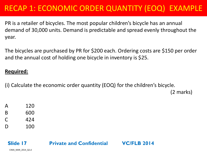PR is a retailer of bicycles. The most popular children's bicycle has an annual demand of 30,000 units. Demand is predictable and spread evenly throughout the year.

The bicycles are purchased by PR for \$200 each. Ordering costs are \$150 per order and the annual cost of holding one bicycle in inventory is \$25.

#### **Required:**

(i) Calculate the economic order quantity (EOQ) for the children's bicycle.

(2 marks)

- A 120 B 600
- $C = 424$
- D 100

#### **Slide 17 Private and Confidential VC/FLB 2014**

CIMA\_MAR\_2014\_Q2.d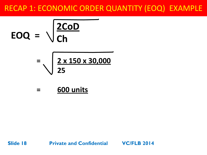$$
EOQ = \sqrt{\frac{2CoD}{Ch}}
$$

$$
= \sqrt{\frac{2 \times 150 \times 30,000}{25}}
$$

**= 600 units**

**Private and Confidential VC/FLB 2014**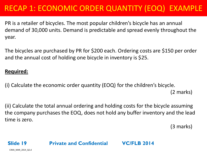PR is a retailer of bicycles. The most popular children's bicycle has an annual demand of 30,000 units. Demand is predictable and spread evenly throughout the year.

The bicycles are purchased by PR for \$200 each. Ordering costs are \$150 per order and the annual cost of holding one bicycle in inventory is \$25.

#### **Required:**

(i) Calculate the economic order quantity (EOQ) for the children's bicycle.

(2 marks)

(ii) Calculate the total annual ordering and holding costs for the bicycle assuming the company purchases the EOQ, does not hold any buffer inventory and the lead time is zero.

(3 marks)

### **Private and Confidential VC/FLB 2014**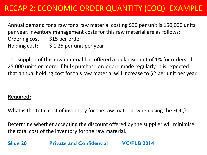Annual demand for a raw for a raw material costing \$30 per unit is 150,000 units per year. Inventory management costs for this raw material are as follows: Ordering cost: \$15 per order Holding cost: \$ 1.25 per unit per year

The supplier of this raw material has offered a bulk discount of 1% for orders of 25,000 units or more. If bulk purchase order are made regularly, it is expected that annual holding cost for this raw material will increase to \$2 per unit per year

#### **Required:**

What is the total cost of inventory for the raw material when using the EOQ?

Determine whether accepting the discount offered by the supplier will minimise the total cost of the inventory for the raw material.

**Slide 20 Private and Confidential VC/FLB 2014**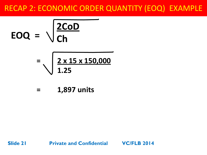$$
EOQ = \sqrt{\frac{2CoD}{Ch}}
$$
  
=  $\sqrt{\frac{2 \times 15 \times 150.0}{2 \times 15 \times 150.0}}$ 

$$
=\sqrt{\frac{2\times15\times150,000}{1.25}}
$$

**= 1,897 units**

**Slide 21 Private and Confidential VC/FLB 2014**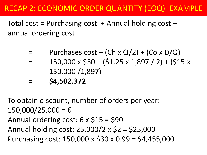Total cost = Purchasing cost  $+$  Annual holding cost  $+$ annual ordering cost

- Purchases cost + (Ch x  $Q/2$ ) + (Co x D/Q)
- $150,000 \times $30 + (51.25 \times 1,897 / 2) + (515 \times 1,897)$ 150,000 /1,897)
- **= \$4,502,372**

To obtain discount, number of orders per year:  $150,000/25,000 = 6$ Annual ordering cost:  $6 \times $15 = $90$ Annual holding cost: 25,000/2 x \$2 = \$25,000 Purchasing cost: 150,000 x \$30 x 0.99 = \$4,455,000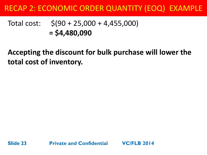### Total cost: \$(90 + 25,000 + 4,455,000) **= \$4,480,090**

**Accepting the discount for bulk purchase will lower the total cost of inventory.**

![](_page_22_Picture_3.jpeg)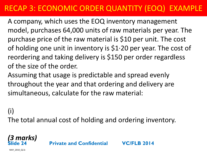A company, which uses the EOQ inventory management model, purchases 64,000 units of raw materials per year. The purchase price of the raw material is \$10 per unit. The cost of holding one unit in inventory is  $$1·20$  per year. The cost of reordering and taking delivery is \$150 per order regardless of the size of the order.

Assuming that usage is predictable and spread evenly throughout the year and that ordering and delivery are simultaneous, calculate for the raw material:

### (i)

The total annual cost of holding and ordering inventory.

#### *(3 marks)* **Slide 24**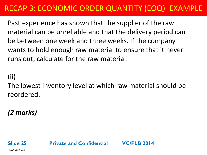Past experience has shown that the supplier of the raw material can be unreliable and that the delivery period can be between one week and three weeks. If the company wants to hold enough raw material to ensure that it never runs out, calculate for the raw material:

(ii)

The lowest inventory level at which raw material should be reordered.

*(2 marks)* 

MAY\_2010\_Q2.b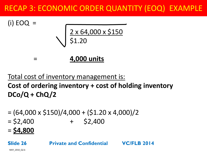![](_page_25_Figure_1.jpeg)

### Total cost of inventory management is: **Cost of ordering inventory + cost of holding inventory DCo/Q + ChQ/2**

- $= (64,000 \times $150)/4,000 + ( $1.20 \times 4,000)/2$
- $=$  \$2,400  $+$  \$2,400
- = **\$4,800**

**Private and Confidential VC/FLB 2014**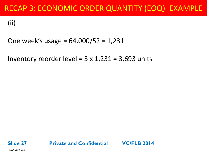(ii)

### One week's usage = 64,000/52 = 1,231

Inventory reorder level =  $3 \times 1,231 = 3,693$  units

![](_page_26_Picture_4.jpeg)

MAY\_2010\_Q2.b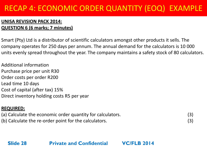#### **UNISA REVISION PACK 2014: QUESTION 6 (6 marks; 7 minutes)**

Smart (Pty) Ltd is a distributor of scientific calculators amongst other products it sells. The company operates for 250 days per annum. The annual demand for the calculators is 10 000 units evenly spread throughout the year. The company maintains a safety stock of 80 calculators.

Additional information Purchase price per unit R30 Order costs per order R200 Lead time 10 days Cost of capital (after tax) 15% Direct inventory holding costs R5 per year

#### **REQUIRED:**

| (a) Calculate the economic order quantity for calculators. | (3) |
|------------------------------------------------------------|-----|
| (b) Calculate the re-order point for the calculators.      | (3) |

**Slide 28**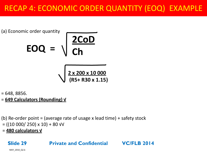(a) Economic order quantity  
\n
$$
EOQ = \sqrt{\frac{2COD}{Ch}}
$$
\n
$$
\sqrt{\frac{2 \times 200 \times 10000}{(R5 + R30 \times 1.15)}}
$$

 $= 648, 8856.$ 

= **649 Calculators (Rounding) √** 

(b) Re-order point = (average rate of usage x lead time) + safety stock  $=$  ((10 000/ 250) x 10) + 80  $\sqrt{v}$ 

= **480 calculators √**

### **Private and Confidential VC/FLB 2014**

MAY\_2010\_Q2.b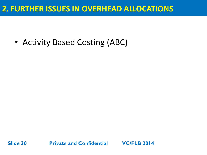### **2. FURTHER ISSUES IN OVERHEAD ALLOCATIONS**

• Activity Based Costing (ABC)

![](_page_29_Picture_2.jpeg)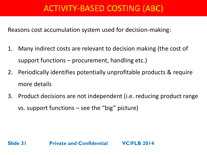### ACTIVITY-BASED COSTING (ABC)

Reasons cost accumulation system used for decision-making:

- 1. Many indirect costs are relevant to decision making (the cost of support functions – procurement, handling etc.)
- 2. Periodically identifies potentially unprofitable products & require more details
- 3. Product decisions are not independent (i.e. reducing product range vs. support functions – see the "big" picture)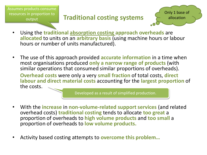Assumes products consume resources in proportion to output

### **Traditional costing systems**

![](_page_31_Picture_2.jpeg)

- Using the **traditional absorption costing approach overheads** are **allocated** to units on an **arbitrary basis** (using machine hours or labour hours or number of units manufactured).
- The use of this approach provided **accurate information** in a time when most organisations produced **only a narrow range of products** (with similar operations that consumed similar proportions of overheads).

**Overhead costs** were only a very **small fraction** of total costs, **direct labour and direct material costs** accounting for the **largest proportion** of the costs.

Developed as a result of simplified production.

- With the **increase** in **non-volume-related support services** (and related overhead costs) **traditional costing** tends to allocate **too great** a proportion of overheads to **high volume products** and **too small** a proportion of overheads to **low volume products.**
- Activity based costing attempts to **overcome this problem…**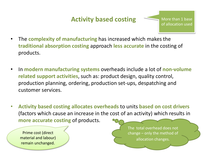### **Activity based costing**

- The **complexity of manufacturing** has increased which makes the **traditional absorption costing** approach **less accurate** in the costing of products.
- In **modern manufacturing systems** overheads include a lot of **non-volume related support activities**, such as: product design, quality control, production planning, ordering, production set-ups, despatching and customer services.
- **Activity based costing allocates overheads** to units **based on cost drivers** (factors which cause an increase in the cost of an activity) which results in **more accurate costing** of products.

Prime cost (direct material and labour) remain unchanged.

The total overhead does not change – only the method of allocation changes.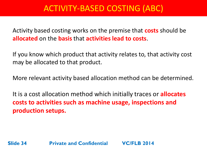### ACTIVITY-BASED COSTING (ABC)

Activity based costing works on the premise that **costs** should be **allocated** on the **basis** that **activities lead to costs**.

If you know which product that activity relates to, that activity cost may be allocated to that product.

More relevant activity based allocation method can be determined.

It is a cost allocation method which initially traces or **allocates costs to activities such as machine usage, inspections and production setups.**

**Slide 34 Private and Confidential VC/FLB 2014**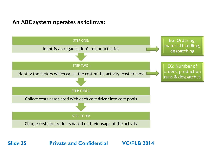### **An ABC system operates as follows:**

![](_page_34_Figure_1.jpeg)

**Slide 35 Private and Confidential VC/FLB 2014**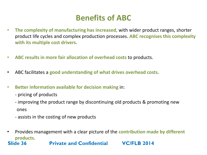### **Benefits of ABC**

- **The complexity of manufacturing has increased,** with wider product ranges, shorter product life cycles and complex production processes. **ABC recognises this complexity with its multiple cost drivers.**
- **ABC results in more fair allocation of overhead costs** to products.
- ABC facilitates a **good understanding of what drives overhead costs**.
- **Better information available for decision making** in:
	- pricing of products
	- improving the product range by discontinuing old products & promoting new ones
	- assists in the costing of new products
- Provides management with a clear picture of the **contribution made by different products.**

#### **Slide 36 Private and Confidential VC/FLB 2014**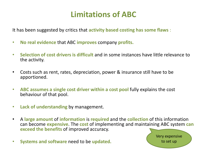### **Limitations of ABC**

It has been suggested by critics that **activity based costing has some flaws** :

- **No real evidence** that ABC **improves** company **profits.**
- **Selection of cost drivers is difficult** and in some instances have little relevance to the activity.
- Costs such as rent, rates, depreciation, power & insurance still have to be apportioned.
- **ABC assumes a single cost driver within a cost pool** fully explains the cost behaviour of that pool.
- **Lack of understanding** by management.
- A **large amount** of **information** is **required** and the **collection** of this information can become **expensive**. The **cost** of implementing and maintaining ABC system **can exceed the benefits** of improved accuracy.
- **Systems and software** need to be **updated.**

![](_page_36_Picture_9.jpeg)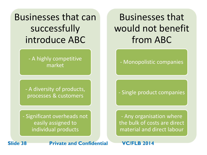Businesses that can successfully introduce ABC

> - A highly competitive market

- A diversity of products, processes & customers

- Significant overheads not easily assigned to individual products

Businesses that would not benefit from ABC

- Monopolistic companies

- Single product companies

- Any organisation where the bulk of costs are direct material and direct labour

**Slide 38 Private and Confidential VC/FLB 2014**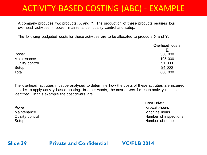### ACTIVITY-BASED COSTING (ABC) - EXAMPLE

A company produces two products, X and Y. The production of these products requires four overhead activities - power, maintenance, quality control and setup.

The following budgeted costs for these activities are to be allocated to products X and Y.

|                        | Overhead costs |
|------------------------|----------------|
|                        |                |
| Power                  | 360 000        |
| Maintenance            | 105 000        |
| <b>Quality control</b> | 51 000         |
| Setup                  | 84 000         |
| Total                  | 600 000        |

The overhead activities must be analysed to determine how the costs of these activities are incurred in order to apply activity based costing. In other words, the cost drivers for each activity must be identified. In this example the cost drivers are:

Cost Driver Power **Example 2018** Power Kilowatt-hours Maintenance **Mathelia Machine hours** Machine hours **Mathelia Machine hours** Quality control Quality control Quality control Quality control Setup Number of setups

**Slide 39**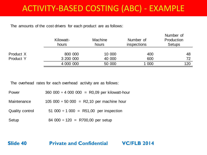### ACTIVITY-BASED COSTING (ABC) - EXAMPLE

The amounts of the cost drivers for each product are as follows:

|           | Kilowatt-<br>hours | <b>Machine</b><br>hours | Number of<br><i>inspections</i> | Number of<br>Production<br><b>Setups</b> |
|-----------|--------------------|-------------------------|---------------------------------|------------------------------------------|
| Product X | 800 000            | 10 000                  | 400                             | 48                                       |
| Product Y | 3 200 000          | 40 000                  | 600                             | 72                                       |
|           | 4 000 000          | 50 000                  | 1 000                           | 120                                      |

The overhead rates for each overhead activity are as follows:

| Power                  | $360\,000 \div 4\,000\,000 = R0,09$ per kilowatt-hour |
|------------------------|-------------------------------------------------------|
| Maintenance            | $105\,000 \div 50\,000 = R2,10$ per machine hour      |
| <b>Quality control</b> | 51 000 $\div$ 1 000 = R51,00 per inspection           |
| Setup                  | 84 000 $\div$ 120 = R700,00 per setup                 |

**Slide 40**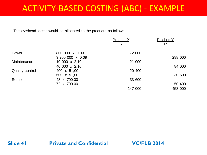### ACTIVITY-BASED COSTING (ABC) - EXAMPLE

The overhead costs would be allocated to the products as follows:

|                        |                              | Product X<br>$\overline{\mathbf{R}}$ | <b>Product Y</b><br><u>R</u> |
|------------------------|------------------------------|--------------------------------------|------------------------------|
| Power                  | 800 000 x 0,09               | 72 000                               |                              |
|                        | 3 200 000 x 0,09             |                                      | 288 000                      |
| Maintenance            | 10 000 x 2,10                | 21 000                               |                              |
| <b>Quality control</b> | 40 000 x 2,10<br>400 x 51,00 | 20 400                               | 84 000                       |
| <b>Setups</b>          | 600 x 51,00<br>48 x 700,00   | 33 600                               | 30 600                       |
|                        | 72 x 700,00                  |                                      | 50 400                       |
|                        |                              | 147 000                              | 453 000                      |

#### **Slide 41**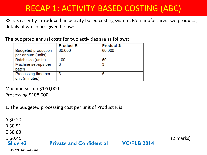### RECAP 1: ACTIVITY-BASED COSTING (ABC)

RS has recently introduced an activity based costing system. RS manufactures two products, details of which are given below:

**Private and Confidential VC/FLB 2014**

The budgeted annual costs for two activities are as follows:

|                            | <b>Product R</b> | <b>Product S</b> |
|----------------------------|------------------|------------------|
| <b>Budgeted production</b> | 80,000           | 60,000           |
| per annum (units)          |                  |                  |
| Batch size (units)         | 100              | 50               |
| Machine set-ups per        | 3                | 3                |
| batch                      |                  |                  |
| Processing time per        | 3                | 5                |
| unit (minutes)             |                  |                  |

Machine set-up \$180,000 Processing \$108,000

1. The budgeted processing cost per unit of Product R is:

**Slide 42** A \$0.20 B \$0.51 C \$0.60

D \$0.45 (2 marks)

CIMA MAR\_2014\_Q1.3 & Q1.4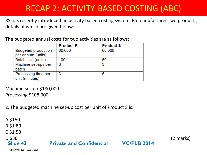### RECAP 2: ACTIVITY-BASED COSTING (ABC)

RS has recently introduced an activity based costing system. RS manufactures two products, details of which are given below:

The budgeted annual costs for two activities are as follows:

|                            | <b>Product R</b> | <b>Product S</b> |
|----------------------------|------------------|------------------|
| <b>Budgeted production</b> | 80,000           | 60,000           |
| per annum (units)          |                  |                  |
| Batch size (units)         | 100              | 50               |
| Machine set-ups per        | 3                | 3                |
| batch                      |                  |                  |
| Processing time per        | 3                | 5                |
| unit (minutes)             |                  |                  |

Machine set-up \$180,000 Processing \$108,000

2. The budgeted machine set-up cost per unit of Product S is:

**Slide 43** A \$150 B \$1.80 C \$1.50 D \$30 (2 marks) **Private and Confidential VC/FLB 2014**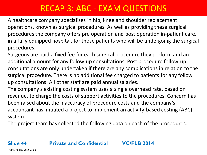A healthcare company specialises in hip, knee and shoulder replacement operations, known as surgical procedures. As well as providing these surgical procedures the company offers pre operation and post operation in-patient care, in a fully equipped hospital, for those patients who will be undergoing the surgical procedures.

Surgeons are paid a fixed fee for each surgical procedure they perform and an additional amount for any follow-up consultations. Post procedure follow-up consultations are only undertaken if there are any complications in relation to the surgical procedure. There is no additional fee charged to patients for any follow up consultations. All other staff are paid annual salaries.

The company's existing costing system uses a single overhead rate, based on revenue, to charge the costs of support activities to the procedures. Concern has been raised about the inaccuracy of procedure costs and the company's accountant has initiated a project to implement an activity-based costing (ABC) system.

The project team has collected the following data on each of the procedures.

#### **Slide 44**

#### **Private and Confidential VC/FLB 2014**

CIMA\_P1\_Nov\_2010\_Q3.a-c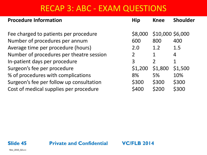| <b>Procedure Information</b>             | <b>Hip</b>     | <b>Knee</b>      | <b>Shoulder</b> |
|------------------------------------------|----------------|------------------|-----------------|
|                                          |                |                  |                 |
| Fee charged to patients per procedure    | \$8,000        | \$10,000 \$6,000 |                 |
| Number of procedures per annum           | 600            | 800              | 400             |
| Average time per procedure (hours)       | 2.0            | 1.2              | 1.5             |
| Number of procedures per theatre session | 2 <sup>1</sup> |                  | 4               |
| In-patient days per procedure            | 3              | $\overline{2}$   |                 |
| Surgeon's fee per procedure              | \$1,200        | \$1,800          | \$1,500         |
| % of procedures with complications       | 8%             | 5%               | 10%             |
| Surgeon's fee per follow up consultation | \$300          | \$300            | \$300           |
| Cost of medical supplies per procedure   | \$400          | \$200            | \$300           |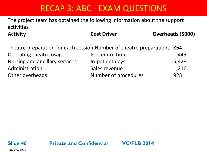The project team has obtained the following information about the support activities.

Activity **Cost Driver** Cost Driver **COST Driver COST Driver COST Driver COST Driver COST Driver COST Driver COST Driver COST Driver COST Driver COST Driver COST Driver COST Driver COST Driver COST** 

| Theatre preparation for each session Number of theatre preparations 864 |                      |       |
|-------------------------------------------------------------------------|----------------------|-------|
| Operating theatre usage                                                 | Procedure time       | 1,449 |
| Nursing and ancillary services                                          | In-patient days      | 5,428 |
| Administration                                                          | Sales revenue        | 1,216 |
| Other overheads                                                         | Number of procedures | 923   |

![](_page_45_Picture_6.jpeg)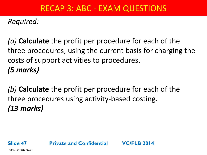*Required:* 

*(a)* **Calculate** the profit per procedure for each of the three procedures, using the current basis for charging the costs of support activities to procedures. *(5 marks)* 

*(b)* **Calculate** the profit per procedure for each of the three procedures using activity-based costing. *(13 marks)*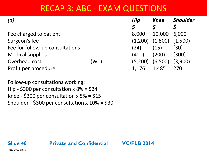| (a)                             |      | Hip                  | <b>Knee</b> | <b>Shoulder</b> |
|---------------------------------|------|----------------------|-------------|-----------------|
|                                 |      | $\boldsymbol{\zeta}$ |             |                 |
| Fee charged to patient          |      | 8,000                | 10,000      | 6,000           |
| Surgeon's fee                   |      | (1,200)              | (1,800)     | (1,500)         |
| Fee for follow-up consultations |      | (24)                 | (15)        | (30)            |
| <b>Medical supplies</b>         |      | (400)                | (200)       | (300)           |
| Overhead cost                   | (W1) | (5,200)              | (6,500)     | (3,900)         |
| Profit per procedure            |      | 1,176                | 1,485       | 270             |

Follow-up consultations working: Hip - \$300 per consultation x 8% = \$24 Knee - \$300 per consultation  $x$  5% = \$15 Shoulder - \$300 per consultation x 10% = \$30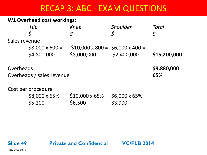#### **W1 Overhead cost workings:**

|               | Hip                       | <b>Knee</b>                                | <b>Shoulder</b>      | Total        |
|---------------|---------------------------|--------------------------------------------|----------------------|--------------|
|               | \$                        |                                            | \$                   | \$           |
| Sales revenue |                           |                                            |                      |              |
|               | $$8,000 \times 600 =$     | $$10,000 \times 800 = $6,000 \times 400 =$ |                      |              |
|               | \$4,800,000               | \$8,000,000                                | \$2,400,000          | \$15,200,000 |
| Overheads     |                           |                                            |                      | \$9,880,000  |
|               | Overheads / sales revenue |                                            |                      | 65%          |
|               | Cost per procedure        |                                            |                      |              |
|               | \$8,000 x 65%             | $$10,000 \times 65\%$                      | $$6,000 \times 65\%$ |              |
|               | \$5,200                   | \$6,500                                    | \$3,900              |              |

#### **Private and Confidential VC/FLB 2014**

Nov\_2010\_Q3.a-c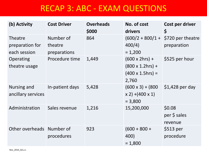| (b) Activity                                      | <b>Cost Driver</b>                   | <b>Overheads</b><br>\$000 | No. of cost<br>drivers                                                         | Cost per driver<br>\$             |
|---------------------------------------------------|--------------------------------------|---------------------------|--------------------------------------------------------------------------------|-----------------------------------|
| <b>Theatre</b><br>preparation for<br>each session | Number of<br>theatre<br>preparations | 864                       | $(600/2 + 800/1 +$<br>400/4)<br>$= 1,200$                                      | \$720 per theatre<br>preparation  |
| <b>Operating</b><br>theatre usage                 | Procedure time                       | 1,449                     | $(600 \times 2hrs) +$<br>$(800 \times 1.2) +$<br>$(400 \times 1.5) =$<br>2,760 | \$525 per hour                    |
| Nursing and<br>ancillary services                 | In-patient days                      | 5,428                     | $(600 \times 3) + (800)$<br>$(x 2) + (400 x 1)$<br>$= 3,800$                   | $$1,428$ per day                  |
| Administration                                    | Sales revenue                        | 1,216                     | 15,200,000                                                                     | \$0.08<br>per \$ sales<br>revenue |
| Other overheads Number of                         | procedures                           | 923                       | $(600 + 800 +$<br>400)<br>$= 1,800$                                            | \$513 per<br>procedure            |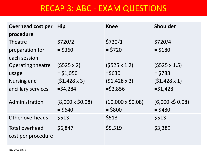| <b>Overhead cost per</b>                    | <b>Hip</b>             | <b>Knee</b>             | <b>Shoulder</b>        |
|---------------------------------------------|------------------------|-------------------------|------------------------|
| procedure                                   |                        |                         |                        |
| <b>Theatre</b>                              | \$720/2                | \$720/1                 | \$720/4                |
| preparation for                             | $=$ \$360              | $=$ \$720               | $=$ \$180              |
| each session                                |                        |                         |                        |
| Operating theatre                           | $(5525 \times 2)$      | $(5525 \times 1.2)$     | $(5525 \times 1.5)$    |
| usage                                       | $=$ \$1,050            | $=$ \$630               | $=$ \$788              |
| <b>Nursing and</b>                          | $(51, 428 \times 3)$   | $(51, 428 \times 2)$    | $(51, 428 \times 1)$   |
| ancillary services                          | $=$ \$4,284            | $=$ \$2,856             | $=$ \$1,428            |
| Administration                              | $(8,000 \times $0.08)$ | $(10,000 \times $0.08)$ | $(6,000 \times 50.08)$ |
|                                             | $=$ \$640              | $=$ \$800               | $=$ \$480              |
| Other overheads                             | \$513                  | \$513                   | \$513                  |
| <b>Total overhead</b><br>cost per procedure | \$6,847                | \$5,519                 | \$3,389                |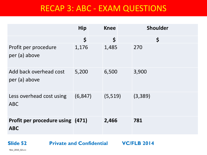|                                                | <b>Hip</b> | <b>Knee</b> | <b>Shoulder</b>      |
|------------------------------------------------|------------|-------------|----------------------|
|                                                | \$         | \$          | $\boldsymbol{\zeta}$ |
| Profit per procedure<br>per (a) above          | 1,176      | 1,485       | 270                  |
| Add back overhead cost<br>per (a) above        | 5,200      | 6,500       | 3,900                |
| Less overhead cost using<br><b>ABC</b>         | (6, 847)   | (5, 519)    | (3,389)              |
| Profit per procedure using (471)<br><b>ABC</b> |            | 2,466       | 781                  |

**Slide 52**

**Private and Confidential VC/FLB 2014**

Nov\_2010\_Q3.a-c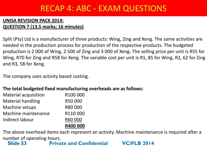#### **UNISA REVISION PACK 2014: QUESTION 7 (13,5 marks; 16 minutes)**

Split (Pty) Ltd is a manufacturer of three products: Wing, Zing and Xeng. The same activities are needed in the production process for production of the respective products. The budgeted production is 2 000 of Wing, 2 500 of Zing and 3 000 of Xeng. The selling price per unit is R55 for Wing, R70 for Zing and R58 for Xeng. The variable cost per unit is R1, 85 for Wing, R2, 62 for Zing and R3, 58 for Xeng.

The company uses activity based costing.

#### **The total budgeted fixed manufacturing overheads are as follows:**

|                             | R400 000 |
|-----------------------------|----------|
| Indirect labour             | R60 000  |
| Machine maintenance         | R110000  |
| Machine setups              | R80 000  |
| <b>Material handling</b>    | R50 000  |
| <b>Material acquisition</b> | R100 000 |

The above overhead items each represent an activity. Machine maintenance is required after a number of operating hours.

**Slide 53 Private and Confidential VC/FLB 2014**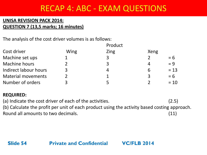#### **UNISA REVISION PACK 2014: QUESTION 7 (13,5 marks; 16 minutes)**

The analysis of the cost driver volumes is as follows:

|                           |      | Product |      |        |
|---------------------------|------|---------|------|--------|
| Cost driver               | Wing | Zing    | Xeng |        |
| Machine set ups           |      | 3       |      | $= 6$  |
| Machine hours             |      | 3       |      | $= 9$  |
| Indirect labour hours     |      | 4       | 6    | $= 13$ |
| <b>Material movements</b> |      |         | 3    | $= 6$  |
| Number of orders          |      |         |      | $= 10$ |

#### **REQUIRED:**

(a) Indicate the cost driver of each of the activities. (2.5) (b) Calculate the profit per unit of each product using the activity based costing approach. Round all amounts to two decimals. (11)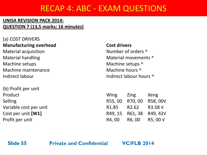#### **UNISA REVISION PACK 2014: QUESTION 7 (13,5 marks; 16 minutes)**

(a) COST DRIVERS **Manufacturing overhead Cost drivers** Material acquisition Number of orders  $\wedge$ Material handling Material movements  $\wedge$ Machine setups Machine setups  $\wedge$ Machine maintenance Machine hours ^ Indirect labour and indirect labour hours  $\wedge$ 

(b) Profit per unit Variable cost per unit Cost per unit **[W1]** Profit per unit

| Product                | Wing Zing Xeng              |                          |
|------------------------|-----------------------------|--------------------------|
| Selling                |                             | R55, 00 R70, 00 R58, 00V |
| Variable cost per unit | R1.85 R2.62 R3.58 V         |                          |
| Cost per unit [W1]     |                             | R49, 15 R61, 38 R49, 42V |
| Profit per unit        | $R4,00$ $R6,00$ $R5,00$ $V$ |                          |

**Slide 55**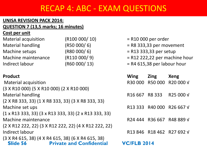#### **UNISA REVISION PACK 2014:**

#### **QUESTION 7 (13,5 marks; 16 minutes)**

#### **Cost per unit**

| <b>Material acquisition</b> | (R100000/10) |
|-----------------------------|--------------|
| <b>Material handling</b>    | (R50000/6)   |
| Machine setups              | (R80000/6)   |
| Machine maintenance         | (R110000/9)  |
| Indirect labour             | (R60000/13)  |

 $=$  R10 000 per order

- $=$  R8 333,33 per movement
- $=$  R13 333,33 per setup
- $=$  R12 222,22 per machine hour
- $=$  R4 615,38 per labour hour

| <b>Product</b>                                                                                                                                                                                                                                                                                                                     | <b>Wing</b>                            | <b>Zing</b> | <b>Xeng</b>               |
|------------------------------------------------------------------------------------------------------------------------------------------------------------------------------------------------------------------------------------------------------------------------------------------------------------------------------------|----------------------------------------|-------------|---------------------------|
| <b>Material acquisition</b>                                                                                                                                                                                                                                                                                                        |                                        |             | R30 000 R50 000 R20 000 V |
| (3 X R10 000) (5 X R10 000) (2 X R10 000)                                                                                                                                                                                                                                                                                          |                                        |             |                           |
| <b>Material handling</b>                                                                                                                                                                                                                                                                                                           | R <sub>16</sub> 667 R <sub>8</sub> 333 |             | R25 000 V                 |
| (2 X R8 333, 33) (1 X R8 333, 33) (3 X R8 333, 33)                                                                                                                                                                                                                                                                                 |                                        |             |                           |
| Machine set ups                                                                                                                                                                                                                                                                                                                    |                                        |             | R13 333 R40 000 R26 667 V |
| $(1 \times R13 \, 333, 33)$ (3 $\times R13 \, 333, 33)$ (2 $\times R13 \, 333, 33)$ )                                                                                                                                                                                                                                              |                                        |             |                           |
| Machine maintenance                                                                                                                                                                                                                                                                                                                |                                        |             | R24 444 R36 667 R48 889 V |
| (2 X R12 222, 22) (3 X R12 222, 22) (4 X R12 222, 22)                                                                                                                                                                                                                                                                              |                                        |             |                           |
| Indirect labour                                                                                                                                                                                                                                                                                                                    |                                        |             | R13 846 R18 462 R27 692 V |
| (3 X R4 615, 38) (4 X R4 615, 38) (6 X R4 615, 38)                                                                                                                                                                                                                                                                                 |                                        |             |                           |
| $\mathsf{G}$ $\mathsf{G}$ $\mathsf{G}$ $\mathsf{G}$ $\mathsf{G}$ $\mathsf{G}$ $\mathsf{G}$ $\mathsf{G}$ $\mathsf{G}$ $\mathsf{G}$ $\mathsf{G}$ $\mathsf{G}$ $\mathsf{G}$ $\mathsf{G}$ $\mathsf{G}$ $\mathsf{G}$ $\mathsf{G}$ $\mathsf{G}$ $\mathsf{G}$ $\mathsf{G}$ $\mathsf{G}$ $\mathsf{G}$ $\mathsf{G}$ $\mathsf{G}$ $\mathsf{$ | VALI D'ALI                             |             |                           |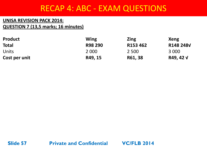#### **UNISA REVISION PACK 2014: QUESTION 7 (13,5 marks; 16 minutes)**

| <b>Product</b> | Wing    | <b>Zing</b> | Xeng      |
|----------------|---------|-------------|-----------|
| <b>Total</b>   | R98 290 | R153 462    | R148 248V |
| <b>Units</b>   | 2 0 0 0 | 2 500       | 3 000     |
| Cost per unit  | R49, 15 | R61, 38     | R49, 42 V |

![](_page_56_Picture_3.jpeg)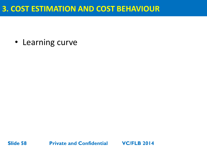### **3. COST ESTIMATION AND COST BEHAVIOUR**

• Learning curve

![](_page_57_Picture_2.jpeg)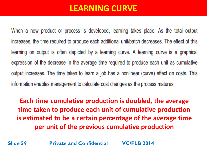### **LEARNING CURVE**

When a new product or process is developed, learning takes place. As the total output increases, the time required to produce each additional unit/batch decreases. The effect of this learning on output is often depicted by a learning curve. A learning curve is a graphical expression of the decrease in the average time required to produce each unit as cumulative output increases. The time taken to learn a job has a nonlinear (curve) effect on costs. This information enables management to calculate cost changes as the process matures.

**Each time cumulative production is doubled, the average time taken to produce each unit of cumulative production is estimated to be a certain percentage of the average time per unit of the previous cumulative production** 

**Slide 59 Private and Confidential VC/FLB 2014**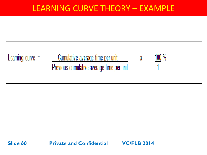### LEARNING CURVE THEORY – EXAMPLE

![](_page_59_Figure_1.jpeg)

**Slide 60 Private and Confidential VC/FLB 2014**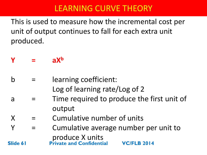This is used to measure how the incremental cost per unit of output continues to fall for each extra unit produced.

**Y = aX<sup>b</sup>**

- b = learning coefficient: Log of learning rate/Log of 2
- a = Time required to produce the first unit of output
- $X =$  Cumulative number of units
- Y = Cumulative average number per unit to produce X units **Slide 61 Private and Confidential VC/FLB 2014**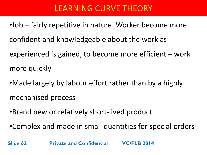- •Job fairly repetitive in nature. Worker become more confident and knowledgeable about the work as experienced is gained, to become more efficient – work more quickly
- •Made largely by labour effort rather than by a highly mechanised process
- •Brand new or relatively short-lived product
- •Complex and made in small quantities for special orders

**Slide 62 Private and Confidential VC/FLB 2014**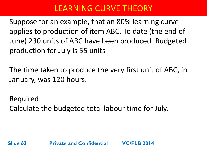Suppose for an example, that an 80% learning curve applies to production of item ABC. To date (the end of June) 230 units of ABC have been produced. Budgeted production for July is 55 units

The time taken to produce the very first unit of ABC, in January, was 120 hours.

Required: Calculate the budgeted total labour time for July.

**Slide 63 Private and Confidential VC/FLB 2014**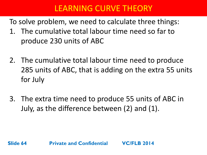To solve problem, we need to calculate three things:

- 1. The cumulative total labour time need so far to produce 230 units of ABC
- 2. The cumulative total labour time need to produce 285 units of ABC, that is adding on the extra 55 units for July
- 3. The extra time need to produce 55 units of ABC in July, as the difference between (2) and (1).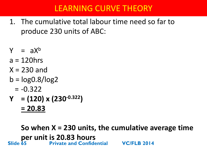- 1. The cumulative total labour time need so far to produce 230 units of ABC:
- $Y = aX^b$
- $a = 120$ hrs
- $X = 230$  and
- $b = log0.8/log2$ 
	- $= -0.322$
- **Y = (120) x (230-0.322) = 20.83**

**So when X = 230 units, the cumulative average time per unit is 20.83 hours**<br>**Private and Confide Slide 65 Private and Confidential VC/FLB 2014**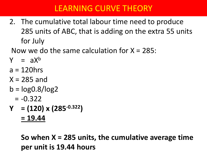2. The cumulative total labour time need to produce 285 units of ABC, that is adding on the extra 55 units for July

Now we do the same calculation for  $X = 285$ :

- $Y = aX^b$
- $a = 120$ hrs
- $X = 285$  and
- $b = log0.8/log2$ 
	- $= -0.322$
- **Y = (120) x (285-0.322) = 19.44**

**So when X = 285 units, the cumulative average time per unit is 19.44 hours**